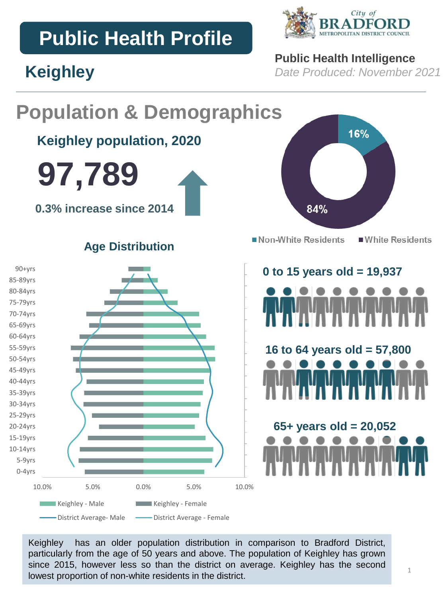# **Public Health Profile**

**Keighley**



## **Public Health Intelligence**

*Date Produced: November 2021*

### **Population & Demographics** 16% **Keighley population, 2020 97,789 0.3% increase since 2014** 84% Non-White Residents ■ White Residents **Age Distribution** 90+yrs **0 to 15 years old = 19,937** 85-89yrs 80-84yrs 75-79yrs 70-74yrs 65-69yrs 60-64yrs 55-59yrs **16 to 64 years old = 57,800** 50-54yrs 45-49yrs 40-44yrs 35-39yrs 30-34yrs 25-29yrs **65+ years old = 20,052** 20-24yrs 15-19yrs 10-14yrs 5-9yrs 0-4yrs 10.0% 5.0% 0.0% 5.0% 10.0% Keighley - Male **Keighley - Female** -District Average- Male - District Average - Female

Keighley has an older population distribution in comparison to Bradford District, particularly from the age of 50 years and above. The population of Keighley has grown since 2015, however less so than the district on average. Keighley has the second lowest proportion of non-white residents in the district.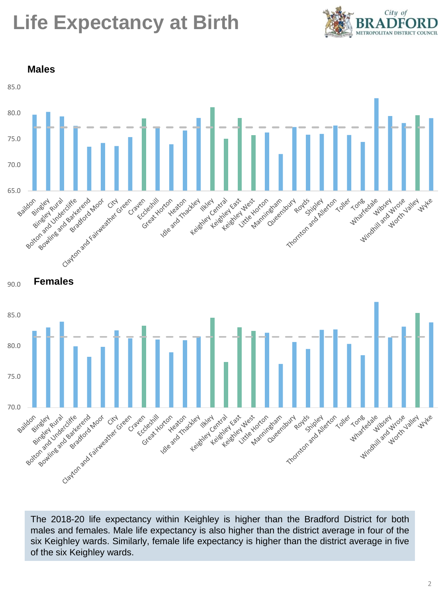# **Life Expectancy at Birth**





The 2018-20 life expectancy within Keighley is higher than the Bradford District for both males and females. Male life expectancy is also higher than the district average in four of the six Keighley wards. Similarly, female life expectancy is higher than the district average in five of the six Keighley wards.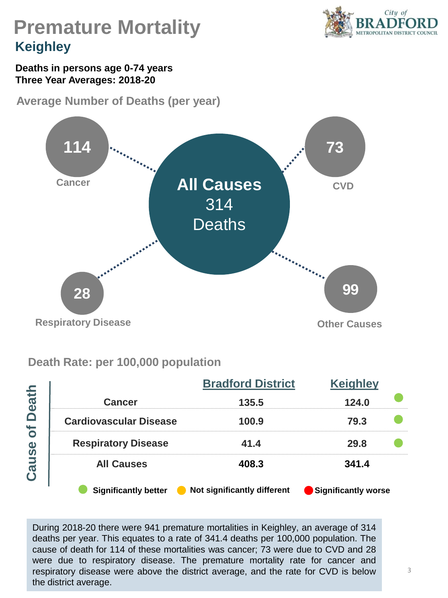

# **Premature Mortality Keighley**

### **Deaths in persons age 0-74 years Three Year Averages: 2018-20**

**Average Number of Deaths (per year)** 



## **Death Rate: per 100,000 population**

|                                           |                               | <b>Bradford District</b>    | <b>Keighley</b>     |  |
|-------------------------------------------|-------------------------------|-----------------------------|---------------------|--|
| eath                                      | <b>Cancer</b>                 | 135.5                       | 124.0               |  |
| $\Box$<br>`o                              | <b>Cardiovascular Disease</b> | 100.9                       | 79.3                |  |
| $\bullet$<br>$\overline{0}$<br><b>Cau</b> | <b>Respiratory Disease</b>    | 41.4                        | 29.8                |  |
|                                           | <b>All Causes</b>             | 408.3                       | 341.4               |  |
|                                           | <b>Significantly better</b>   | Not significantly different | Significantly worse |  |

During 2018-20 there were 941 premature mortalities in Keighley, an average of 314 deaths per year. This equates to a rate of 341.4 deaths per 100,000 population. The cause of death for 114 of these mortalities was cancer; 73 were due to CVD and 28 were due to respiratory disease. The premature mortality rate for cancer and respiratory disease were above the district average, and the rate for CVD is below the district average.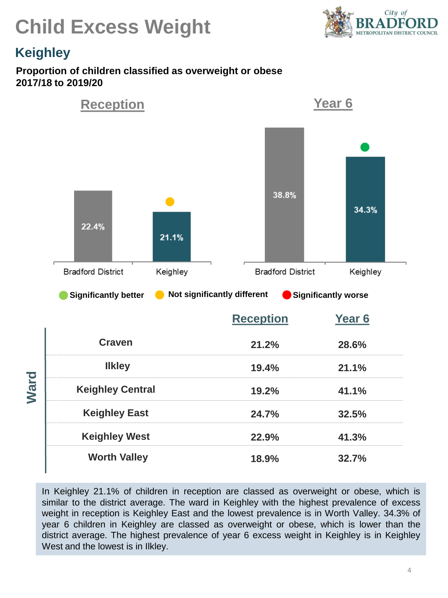



## **Keighley**

### **Proportion of children classified as overweight or obese 2017/18 to 2019/20**



In Keighley 21.1% of children in reception are classed as overweight or obese, which is similar to the district average. The ward in Keighley with the highest prevalence of excess weight in reception is Keighley East and the lowest prevalence is in Worth Valley. 34.3% of year 6 children in Keighley are classed as overweight or obese, which is lower than the district average. The highest prevalence of year 6 excess weight in Keighley is in Keighley West and the lowest is in Ilkley.